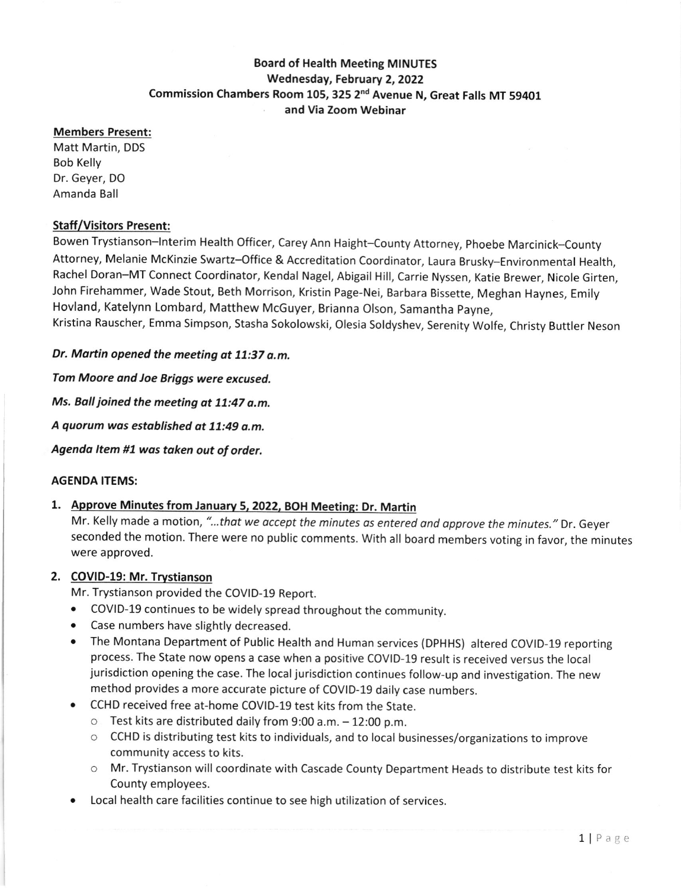# Board of Health Meeting MINUTES Wednesday, Febtuary 2, 2022 Commission Chambers Room 105,325 2nd Avenue N, Great Falls MT 59401 and Via Zoom Webinar

#### Members Present:

Matt Martin, DDS Bob Kelly Dr. Geyer, DO Amanda Ball

#### Staff/Visitors Present:

Bowen Trystianson-lnterim Health Officer, Carey Ann Haight-County Attorney, phoebe Marcinick-County Attorney, Melanie McKinzie Swartz-Office & Accreditation Coordinator, Laura Brusky-Environmental Health, Rachel Doran-MT Connect Coordinator, Kendal Nagel, Abigail Hill, Carrie Nyssen, Katie Brewer, Nicole Girten, John Firehammer, wade stout, Beth Morrison, Kristin page-Nei, Barbara Bissette, Meghan Haynes, Emily Hovland, Katelynn Lombard, Matthew McGuyer, Brianna Olson, Samantha payne, Kristina Rauscher, Emma Simpson, Stasha Sokolowski, Olesia Soldyshev, Serenity Wolfe, Christy Buttler Neson

Dr. Martin opened the meeting at 11:37 a.m.

Tom Moore and Joe Briggs were excused.

Ms. Ball joined the meeting at 11:47 a.m.

A quorum was established at 11:49 a.m.

Agenda Item #1 was taken out of order.

#### AGENDA ITEMS:

# 1. Approve Minutes from Januarv 5, 2022, BOH Meeting: Dr. Martin

Mr. Kelly made a motion, "...that we accept the minutes as entered and approve the minutes." Dr. Geyer seconded the motion. There were no public comments. With all board members voting in favor, the minutes were approved.

#### 2. COVID-19: Mr. Trvstianson

Mr. Trystianson provided the COVID-19 Report.

- COVID-19 continues to be widely spread throughout the community.
- . Case numbers have slightly decreased.
- The Montana Department of Public Health and Human services (DPHHS) altered COVID-19 reporting process. The State now opens a case when a positive COVID-19 result is received versus the local jurisdiction opening the case. The local jurisdiction continues follow-up and investigation. The new method provides a more accurate picture of COVID-19 daily case numbers.
- o CCHD received free at-home COVID-1g test kits from the State.
	- $\circ$  Test kits are distributed daily from 9:00 a.m.  $-12:00$  p.m.
	- o CCHD is distributing test kits to individuals, and to local businesses/organizations to improve community access to kits.
	- o Mr. Trystianson will coordinate with Cascade County Department Heads to distribute test kits for County employees.
- Local health care facilities continue to see high utilization of services.